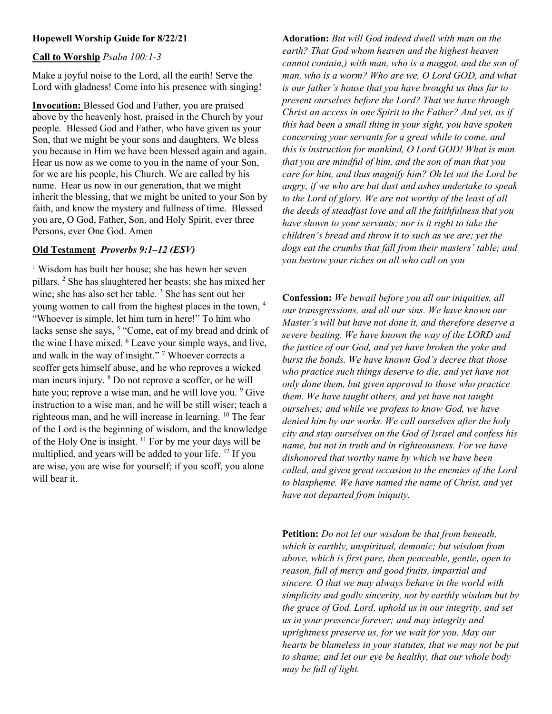## Hopewell Worship Guide for 8/22/21

#### Call to Worship Psalm 100:1-3

Make a joyful noise to the Lord, all the earth! Serve the Lord with gladness! Come into his presence with singing!

Invocation: Blessed God and Father, you are praised above by the heavenly host, praised in the Church by your people. Blessed God and Father, who have given us your Son, that we might be your sons and daughters. We bless you because in Him we have been blessed again and again. Hear us now as we come to you in the name of your Son, for we are his people, his Church. We are called by his name. Hear us now in our generation, that we might inherit the blessing, that we might be united to your Son by faith, and know the mystery and fullness of time. Blessed you are, O God, Father, Son, and Holy Spirit, ever three Persons, ever One God. Amen

#### Old Testament Proverbs 9:1–12 (ESV)

1 Wisdom has built her house; she has hewn her seven pillars. <sup>2</sup> She has slaughtered her beasts; she has mixed her wine; she has also set her table.<sup>3</sup> She has sent out her young women to call from the highest places in the town, <sup>4</sup> "Whoever is simple, let him turn in here!" To him who lacks sense she says, <sup>5</sup> "Come, eat of my bread and drink of the wine I have mixed. <sup>6</sup> Leave your simple ways, and live, and walk in the way of insight."<sup>7</sup> Whoever corrects a scoffer gets himself abuse, and he who reproves a wicked man incurs injury. <sup>8</sup> Do not reprove a scoffer, or he will hate you; reprove a wise man, and he will love you. <sup>9</sup> Give instruction to a wise man, and he will be still wiser; teach a righteous man, and he will increase in learning. <sup>10</sup> The fear of the Lord is the beginning of wisdom, and the knowledge of the Holy One is insight.  $\frac{11}{11}$  For by me your days will be multiplied, and years will be added to your life. <sup>12</sup> If you are wise, you are wise for yourself; if you scoff, you alone will bear it.

Adoration: But will God indeed dwell with man on the earth? That God whom heaven and the highest heaven cannot contain,) with man, who is a maggot, and the son of man, who is a worm? Who are we, O Lord GOD, and what is our father's house that you have brought us thus far to present ourselves before the Lord? That we have through Christ an access in one Spirit to the Father? And yet, as if this had been a small thing in your sight, you have spoken concerning your servants for a great while to come, and this is instruction for mankind, O Lord GOD! What is man that you are mindful of him, and the son of man that you care for him, and thus magnify him? Oh let not the Lord be angry, if we who are but dust and ashes undertake to speak to the Lord of glory. We are not worthy of the least of all the deeds of steadfast love and all the faithfulness that you have shown to your servants; nor is it right to take the children's bread and throw it to such as we are; yet the dogs eat the crumbs that fall from their masters' table; and you bestow your riches on all who call on you

Confession: We bewail before you all our iniquities, all our transgressions, and all our sins. We have known our Master's will but have not done it, and therefore deserve a severe beating. We have known the way of the LORD and the justice of our God, and yet have broken the yoke and burst the bonds. We have known God's decree that those who practice such things deserve to die, and yet have not only done them, but given approval to those who practice them. We have taught others, and yet have not taught ourselves; and while we profess to know God, we have denied him by our works. We call ourselves after the holy city and stay ourselves on the God of Israel and confess his name, but not in truth and in righteousness. For we have dishonored that worthy name by which we have been called, and given great occasion to the enemies of the Lord to blaspheme. We have named the name of Christ, and yet have not departed from iniquity.

Petition: Do not let our wisdom be that from beneath, which is earthly, unspiritual, demonic; but wisdom from above, which is first pure, then peaceable, gentle, open to reason, full of mercy and good fruits, impartial and sincere. O that we may always behave in the world with simplicity and godly sincerity, not by earthly wisdom but by the grace of God. Lord, uphold us in our integrity, and set us in your presence forever; and may integrity and uprightness preserve us, for we wait for you. May our hearts be blameless in your statutes, that we may not be put to shame; and let our eye be healthy, that our whole body may be full of light.